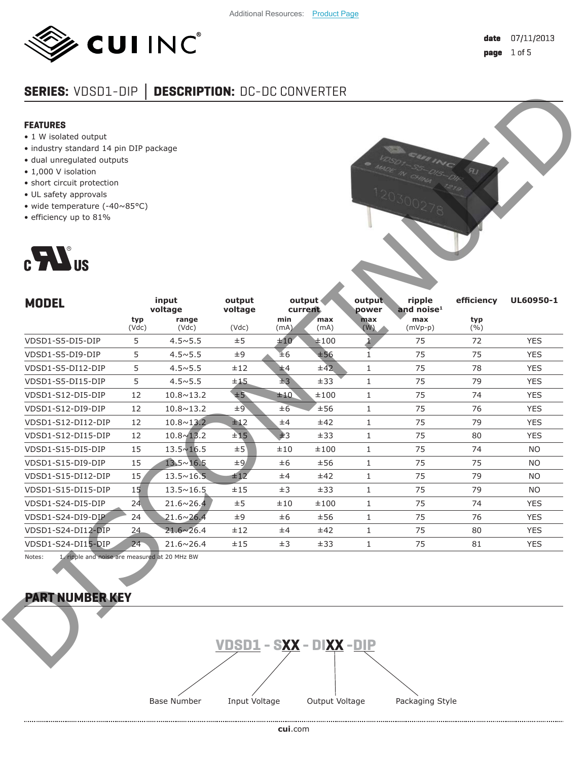

# **SERIES:** VDSD1-DIP **│ DESCRIPTION:** DC-DC CONVERTER

#### **FEATURES**

- 1 W isolated output
- industry standard 14 pin DIP package
- dual unregulated outputs
- 1,000 V isolation
- short circuit protection
- UL safety approvals
- wide temperature (-40~85°C)
- efficiency up to 81%



| <b>FEATURES</b>                                                                    |              |                    |                   |             |                     |                 |                                  |              |            |
|------------------------------------------------------------------------------------|--------------|--------------------|-------------------|-------------|---------------------|-----------------|----------------------------------|--------------|------------|
| • 1 W isolated output                                                              |              |                    |                   |             |                     |                 |                                  |              |            |
| · industry standard 14 pin DIP package                                             |              |                    |                   |             |                     |                 |                                  |              |            |
| · dual unregulated outputs<br>• 1,000 V isolation                                  |              |                    |                   |             |                     |                 |                                  |              |            |
| · short circuit protection                                                         |              |                    |                   |             |                     |                 |                                  |              |            |
| · UL safety approvals                                                              |              |                    |                   |             |                     |                 |                                  |              |            |
| • wide temperature $(-40 \times 85^{\circ}C)$                                      |              |                    |                   |             |                     |                 |                                  |              |            |
| · efficiency up to 81%                                                             |              |                    |                   |             |                     |                 |                                  |              |            |
| $c$ $\sum$ us                                                                      |              |                    |                   |             |                     |                 |                                  |              |            |
|                                                                                    |              |                    |                   |             |                     |                 |                                  |              |            |
| <b>MODEL</b>                                                                       |              | input<br>voltage   | output<br>voltage |             | output <<br>current | output<br>power | ripple<br>and noise <sup>1</sup> | efficiency   | UL60950-1  |
|                                                                                    | typ<br>(Vdc) | range<br>(Vdc)     | (Vdc)             | min<br>(mA) | max<br>(mA)         | max<br>(W)      | max<br>$(mVp-p)$                 | typ<br>(9/0) |            |
| VDSD1-S5-DI5-DIP                                                                   | 5            | $4.5 \times 5.5$   | ±5                | ±10         | ±100                |                 | 75                               | 72           | <b>YES</b> |
| VDSD1-S5-DI9-DIP                                                                   | 5            | $4.5 \times 5.5$   | ±9                | ±6          | ±56                 | 1               | 75                               | 75           | <b>YES</b> |
| VDSD1-S5-DI12-DIP                                                                  | 5            | $4.5 \times 5.5$   | ±12               | ±4          | ±42                 | $\mathbf 1$     | 75                               | 78           | <b>YES</b> |
| VDSD1-S5-DI15-DIP                                                                  | 5            | $4.5 \times 5.5$   | ±15               | ±3          | ±33                 | $\mathbf{1}$    | 75                               | 79           | <b>YES</b> |
| VDSD1-S12-DI5-DIP                                                                  | 12           | $10.8 \times 13.2$ | ±5                | ±10         | ±100                | $1\,$           | 75                               | 74           | <b>YES</b> |
| VDSD1-S12-DI9-DIP                                                                  | 12           | $10.8 \times 13.2$ | ±9                | $\pm 6$     | ±56                 | $\,1\,$         | 75                               | 76           | <b>YES</b> |
| VDSD1-S12-DI12-DIP                                                                 | 12           | $10.8 \times 13.2$ | ±12               | ±4          | ±42                 | $\mathbf{1}$    | 75                               | 79           | <b>YES</b> |
|                                                                                    | 12           | $10.8 \times 13.2$ | ±15               | ±3          | ±33                 | $\mathbf{1}$    | 75                               | 80           | <b>YES</b> |
| VDSD1-S12-DI15-DIP                                                                 |              | $13.5 \times 16.5$ | ±5                | ±10         | ±100                | $\mathbf{1}$    | 75                               | 74           | <b>NO</b>  |
| VDSD1-S15-DI5-DIP                                                                  | 15           |                    |                   | ±6          | ±56                 | $\mathbf{1}$    | 75                               | 75           | <b>NO</b>  |
| VDSD1-S15-DI9-DIP                                                                  | 15           | $13.5 \times 16.5$ | ±9                |             |                     |                 |                                  |              |            |
| VDSD1-S15-DI12-DIP                                                                 | 15           | $13.5 \times 16.5$ | ±12               | ±4          | ±42                 | $\mathbf{1}$    | 75                               | 79           | <b>NO</b>  |
|                                                                                    | 15           | $13.5 \times 16.5$ | ±15               | $\pm 3$     | ±33                 | $\mathbf{1}$    | 75                               | 79           | <b>NO</b>  |
|                                                                                    | 24           | $21.6 \times 26.4$ | ±5                | ±10         | ±100                | $\mathbf{1}$    | 75                               | 74           | <b>YES</b> |
|                                                                                    | 24           | $21.6 \times 26.4$ | $\pm 9$           | ±6          | ±56                 | $\mathbf{1}$    | 75                               | 76           | <b>YES</b> |
| VDSD1-S15-DI15-DIP<br>VDSD1-S24-DI5-DIP<br>VDSD1-S24-DI9-DIP<br>VDSD1-S24-DI12-DIP | 24           | $21.6 \times 26.4$ | ±12               | ±4          | ±42                 | $\mathbf{1}$    | 75                               | 80           | <b>YES</b> |

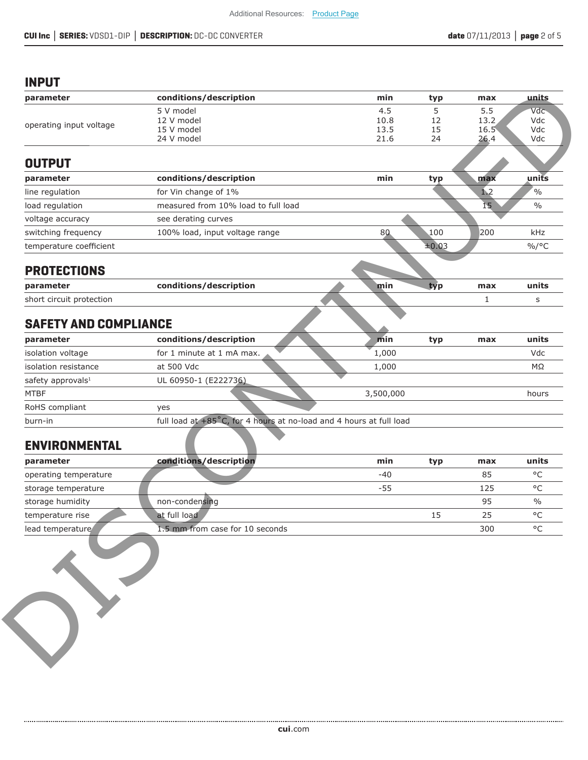### **INPUT**

| parameter                     |                                                                     |             |         |                |               |
|-------------------------------|---------------------------------------------------------------------|-------------|---------|----------------|---------------|
|                               | conditions/description                                              | min         | typ     | max            | units         |
|                               | 5 V model<br>12 V model                                             | 4.5<br>10.8 | 5<br>12 | 5.5<br>13.2    | Vdc<br>Vdc    |
| operating input voltage       | 15 V model                                                          | 13.5        | 15      | $16.5^{\circ}$ | Vdc           |
|                               | 24 V model                                                          | 21.6        | 24      | 26.4           | Vdc           |
| <b>OUTPUT</b>                 |                                                                     |             |         |                |               |
| parameter                     | conditions/description                                              | min         | typ     | max            | units         |
| line regulation               | for Vin change of 1%                                                |             |         | 1.2            | $\frac{0}{0}$ |
| load regulation               | measured from 10% load to full load                                 |             |         | 15             | $\frac{0}{0}$ |
| voltage accuracy              | see derating curves                                                 |             |         |                |               |
| switching frequency           | 100% load, input voltage range                                      | 80          | 100     | 200            | kHz           |
| temperature coefficient       |                                                                     |             | ±0.03   |                | $\%$ /°C      |
| <b>PROTECTIONS</b>            |                                                                     |             |         |                |               |
| parameter                     | conditions/description                                              | min         | typ     | max            | units         |
| short circuit protection      |                                                                     |             |         | 1              | s             |
| <b>SAFETY AND COMPLIANCE</b>  |                                                                     |             |         |                |               |
| parameter                     | conditions/description                                              | min         | typ     | max            | units         |
| isolation voltage             | for 1 minute at 1 mA max.                                           | 1,000       |         |                | Vdc           |
| isolation resistance          | at 500 Vdc                                                          | 1,000       |         |                | $M\Omega$     |
| safety approvals <sup>1</sup> | UL 60950-1 (E222736)                                                |             |         |                |               |
| <b>MTBF</b>                   |                                                                     | 3,500,000   |         |                | hours         |
| RoHS compliant                | yes                                                                 |             |         |                |               |
| burn-in                       | full load at +85°C, for 4 hours at no-load and 4 hours at full load |             |         |                |               |
| <b>ENVIRONMENTAL</b>          |                                                                     |             |         |                |               |
| parameter                     | conditions/description                                              | min         | typ     | max            | units         |
| operating temperature         |                                                                     | $-40$       |         | 85             | $^{\circ}$ C  |
| storage temperature           |                                                                     | $-55$       |         | 125            | $^{\circ}$ C  |
| storage humidity              | non-condensing                                                      |             |         | 95             | $\frac{0}{0}$ |
|                               |                                                                     |             | 15      | 25             | $^{\circ}$ C  |
| temperature rise              | at full load                                                        |             |         |                |               |

| parameter                     | conditions/description                                              | min       | typ | max | units      |
|-------------------------------|---------------------------------------------------------------------|-----------|-----|-----|------------|
| isolation voltage             | for 1 minute at 1 mA max.                                           | 1,000     |     |     | <b>Vdc</b> |
| isolation resistance          | at 500 Vdc                                                          | 1,000     |     |     | MΩ         |
| safety approvals <sup>1</sup> | UL 60950-1 (E222736)                                                |           |     |     |            |
| <b>MTBF</b>                   |                                                                     | 3,500,000 |     |     | hours      |
| RoHS compliant                | yes                                                                 |           |     |     |            |
| burn-in                       | full load at +85°C, for 4 hours at no-load and 4 hours at full load |           |     |     |            |

# **ENVIRONMENTAL**

| parameter             | conditions/description          | min   | typ | max | units         |
|-----------------------|---------------------------------|-------|-----|-----|---------------|
| operating temperature |                                 | $-40$ |     | 85  | $\circ$       |
| storage temperature   |                                 | -55   |     | 125 | $\circ$       |
| storage humidity      | non-condensing                  |       |     | 95  | $\frac{0}{0}$ |
| temperature rise      | at full load                    |       |     | 25  | $\circ$       |
| lead temperature      | 1.5 mm from case for 10 seconds |       |     | 300 | $\circ$       |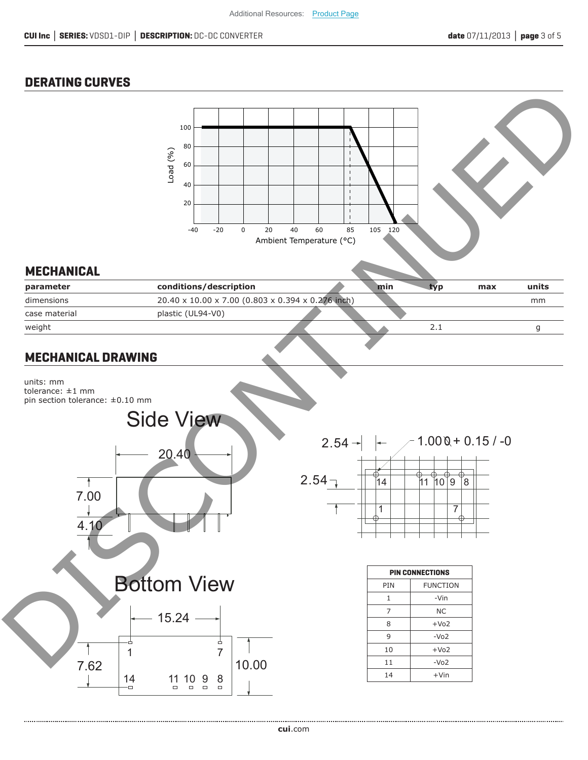### **DERATING CURVES**

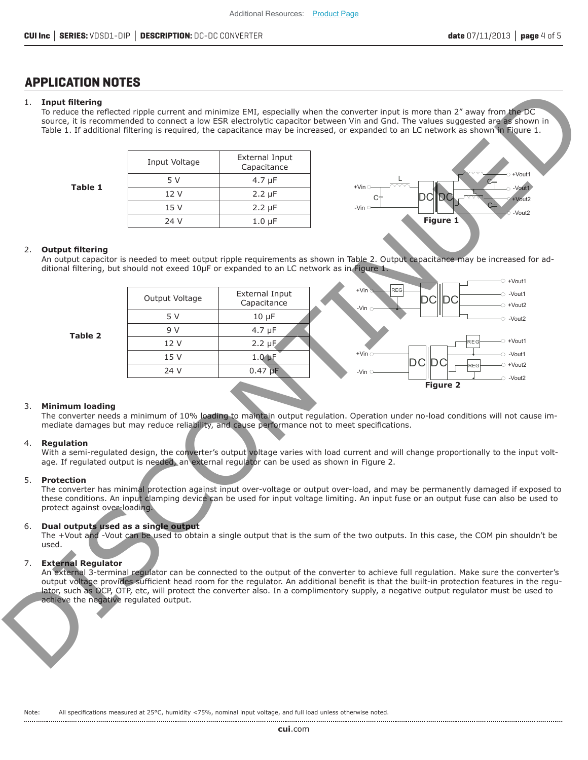### **APPLICATION NOTES**

#### 1. **Input fi ltering**

| Input Voltage | External Input<br>Capacitance |
|---------------|-------------------------------|
| 5 V           | 4.7 $\mu$ F                   |
| 12 V          | $2.2 \mu F$                   |
| 15 V          | $2.2 \mu F$                   |
| 24 V          | $1.0 \mu F$                   |



#### 2. Output filtering

|          |                                                    |                |                                                                                                                                                                                              | Table 1. If additional filtering is required, the capacitance may be increased, or expanded to an LC network as shown in Figure 1.                                                                                                                                           |
|----------|----------------------------------------------------|----------------|----------------------------------------------------------------------------------------------------------------------------------------------------------------------------------------------|------------------------------------------------------------------------------------------------------------------------------------------------------------------------------------------------------------------------------------------------------------------------------|
|          |                                                    | Input Voltage  | External Input<br>Capacitance                                                                                                                                                                |                                                                                                                                                                                                                                                                              |
|          |                                                    | 5 V            | $4.7 \mu F$                                                                                                                                                                                  | +Vout1                                                                                                                                                                                                                                                                       |
|          | <b>Table 1</b>                                     | 12 V           | $2.2 \mu F$                                                                                                                                                                                  | $+V$ in $\bigcirc$<br>$\circ$ -Vout1<br><b>DC</b><br>DCl                                                                                                                                                                                                                     |
|          |                                                    | 15 V           | $2.2 \mu F$                                                                                                                                                                                  | +Vout2<br>$-Vin$                                                                                                                                                                                                                                                             |
|          |                                                    | 24 V           | $1.0 \mu F$                                                                                                                                                                                  | -Vout2<br>Figure 1                                                                                                                                                                                                                                                           |
| 2.       | <b>Output filtering</b>                            |                | ditional filtering, but should not exeed 10µF or expanded to an LC network as in Figure 1.                                                                                                   | An output capacitor is needed to meet output ripple requirements as shown in Table 2. Output capacitance may be increased for ad-<br>$\circ$ +Vout1                                                                                                                          |
|          |                                                    | Output Voltage | External Input<br>Capacitance                                                                                                                                                                | $+V$ in $\odot$<br><b>REG</b><br>$\circ$ -Vout1<br>DC<br>DC<br>$\circ$ +Vout2<br>-Vin $\circ$                                                                                                                                                                                |
|          |                                                    | 5 V            | $10 \mu F$                                                                                                                                                                                   | $\circ$ -Vout2                                                                                                                                                                                                                                                               |
|          | Table 2                                            | 9 V            | $4.7 \mu F$                                                                                                                                                                                  |                                                                                                                                                                                                                                                                              |
|          |                                                    | 12 V           | $2.2 \mu F$                                                                                                                                                                                  | $\sim$ +Vout1<br>REG                                                                                                                                                                                                                                                         |
|          |                                                    | 15 V           | $1.0 \mu F$                                                                                                                                                                                  | $+$ Vin $\circ$<br>$\sim$ -Vout1<br><b>DCIDC</b><br>$-$ O +Vout2                                                                                                                                                                                                             |
|          |                                                    | 24 V           | $0.47$ pF                                                                                                                                                                                    | <b>REG</b><br>-Vin $\circ$                                                                                                                                                                                                                                                   |
|          |                                                    |                |                                                                                                                                                                                              | -O -Vout2<br><b>Figure 2</b>                                                                                                                                                                                                                                                 |
| 3.<br>4. | <b>Minimum loading</b><br>Regulation               |                | mediate damages but may reduce reliability, and cause performance not to meet specifications.<br>age. If regulated output is needed, an external regulator can be used as shown in Figure 2. | The converter needs a minimum of 10% loading to maintain output regulation. Operation under no-load conditions will not cause im-<br>With a semi-regulated design, the converter's output voltage varies with load current and will change proportionally to the input volt- |
| 5.       | <b>Protection</b><br>protect against over-loading. |                |                                                                                                                                                                                              | The converter has minimal protection against input over-voltage or output over-load, and may be permanently damaged if exposed to<br>these conditions. An input clamping device can be used for input voltage limiting. An input fuse or an output fuse can also be used to  |
| 6.       | Dual outputs used as a single output<br>used.      |                |                                                                                                                                                                                              | The +Vout and -Vout can be used to obtain a single output that is the sum of the two outputs. In this case, the COM pin shouldn't be                                                                                                                                         |

#### 4. **Regulation**

#### 5. **Protection**

#### 6. **Dual outputs used as a single output**

#### 7. **External Regulator**

Note: All specifications measured at 25°C, humidity <75%, nominal input voltage, and full load unless otherwise noted.